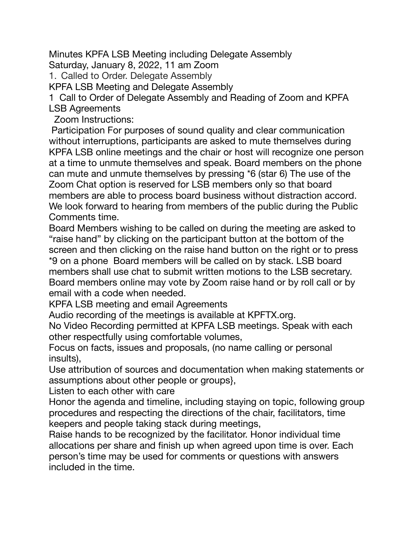Minutes KPFA LSB Meeting including Delegate Assembly Saturday, January 8, 2022, 11 am Zoom

1. Called to Order. Delegate Assembly

KPFA LSB Meeting and Delegate Assembly

1 Call to Order of Delegate Assembly and Reading of Zoom and KPFA LSB Agreements

Zoom Instructions:

 Participation For purposes of sound quality and clear communication without interruptions, participants are asked to mute themselves during KPFA LSB online meetings and the chair or host will recognize one person at a time to unmute themselves and speak. Board members on the phone can mute and unmute themselves by pressing \*6 (star 6) The use of the Zoom Chat option is reserved for LSB members only so that board members are able to process board business without distraction accord. We look forward to hearing from members of the public during the Public Comments time.

Board Members wishing to be called on during the meeting are asked to "raise hand" by clicking on the participant button at the bottom of the screen and then clicking on the raise hand button on the right or to press \*9 on a phone Board members will be called on by stack. LSB board members shall use chat to submit written motions to the LSB secretary. Board members online may vote by Zoom raise hand or by roll call or by email with a code when needed.

KPFA LSB meeting and email Agreements

Audio recording of the meetings is available at KPFTX.org.

No Video Recording permitted at KPFA LSB meetings. Speak with each other respectfully using comfortable volumes,

Focus on facts, issues and proposals, (no name calling or personal insults),

Use attribution of sources and documentation when making statements or assumptions about other people or groups},

Listen to each other with care

Honor the agenda and timeline, including staying on topic, following group procedures and respecting the directions of the chair, facilitators, time keepers and people taking stack during meetings,

Raise hands to be recognized by the facilitator. Honor individual time allocations per share and finish up when agreed upon time is over. Each person's time may be used for comments or questions with answers included in the time.